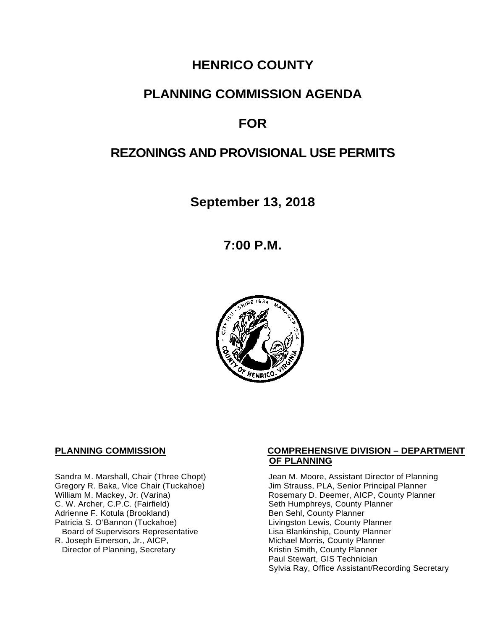# **HENRICO COUNTY**

# **PLANNING COMMISSION AGENDA**

# **FOR**

# **REZONINGS AND PROVISIONAL USE PERMITS**

**September 13, 2018**

**7:00 P.M.**



C. W. Archer, C.P.C. (Fairfield) Seth Humphreys, County I<br>Adrienne F. Kotula (Brookland) Seth Humphreys, County Planner Adrienne F. Kotula (Brookland)<br>Patricia S. O'Bannon (Tuckahoe) Board of Supervisors Representative<br>R. Joseph Emerson, Jr., AICP, Director of Planning, Secretary

#### **PLANNING COMMISSION COMPREHENSIVE DIVISION – DEPARTMENT OF PLANNING**

Sandra M. Marshall, Chair (Three Chopt) Jean M. Moore, Assistant Director of Planning<br>Gregory R. Baka, Vice Chair (Tuckahoe) Jim Strauss, PLA, Senior Principal Planner Gregory R. Baka, Vice Chair (Tuckahoe) *Jim Strauss, PLA, Senior Principal Planner*<br>William M. Mackey, Jr. (Varina) **Macking Principal Planner** Rosemary D. Deemer, AICP, County Planner Rosemary D. Deemer, AICP, County Planner<br>Seth Humphreys, County Planner Livingston Lewis, County Planner<br>Lisa Blankinship, County Planner Michael Morris, County Planner<br>Kristin Smith, County Planner Paul Stewart, GIS Technician Sylvia Ray, Office Assistant/Recording Secretary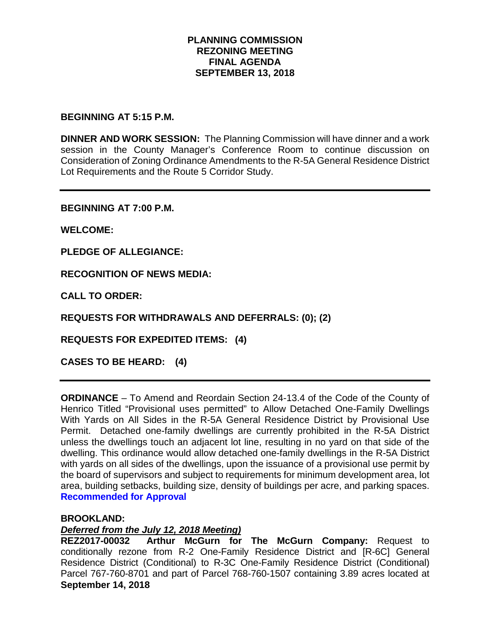### **PLANNING COMMISSION REZONING MEETING FINAL AGENDA SEPTEMBER 13, 2018**

#### **BEGINNING AT 5:15 P.M.**

**DINNER AND WORK SESSION:** The Planning Commission will have dinner and a work session in the County Manager's Conference Room to continue discussion on Consideration of Zoning Ordinance Amendments to the R-5A General Residence District Lot Requirements and the Route 5 Corridor Study.

**BEGINNING AT 7:00 P.M.**

**WELCOME:**

**PLEDGE OF ALLEGIANCE:**

**RECOGNITION OF NEWS MEDIA:**

**CALL TO ORDER:**

**REQUESTS FOR WITHDRAWALS AND DEFERRALS: (0); (2)**

**REQUESTS FOR EXPEDITED ITEMS: (4)**

**CASES TO BE HEARD: (4)**

**ORDINANCE** – To Amend and Reordain Section 24-13.4 of the Code of the County of Henrico Titled "Provisional uses permitted" to Allow Detached One-Family Dwellings With Yards on All Sides in the R-5A General Residence District by Provisional Use Permit. Detached one-family dwellings are currently prohibited in the R-5A District unless the dwellings touch an adjacent lot line, resulting in no yard on that side of the dwelling. This ordinance would allow detached one-family dwellings in the R-5A District with yards on all sides of the dwellings, upon the issuance of a provisional use permit by the board of supervisors and subject to requirements for minimum development area, lot area, building setbacks, building size, density of buildings per acre, and parking spaces. **Recommended for Approval**

#### **BROOKLAND:**

#### *Deferred from the July 12, 2018 Meeting)*

**September 14, 2018 REZ2017-00032 Arthur McGurn for The McGurn Company:** Request to conditionally rezone from R-2 One-Family Residence District and [R-6C] General Residence District (Conditional) to R-3C One-Family Residence District (Conditional) Parcel 767-760-8701 and part of Parcel 768-760-1507 containing 3.89 acres located at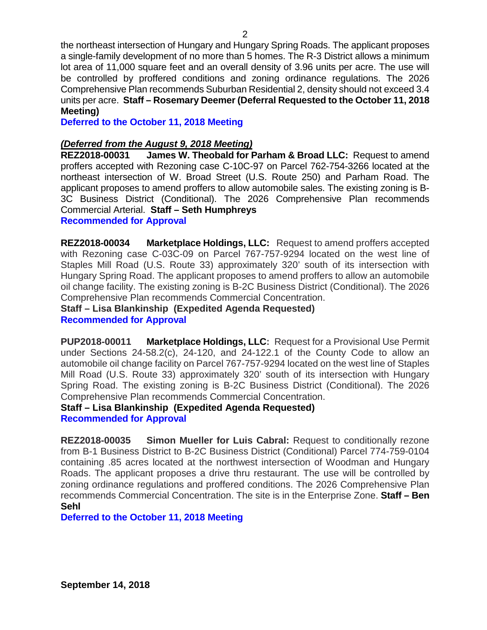the northeast intersection of Hungary and Hungary Spring Roads. The applicant proposes a single-family development of no more than 5 homes. The R-3 District allows a minimum lot area of 11,000 square feet and an overall density of 3.96 units per acre. The use will be controlled by proffered conditions and zoning ordinance regulations. The 2026 Comprehensive Plan recommends Suburban Residential 2, density should not exceed 3.4 units per acre. **Staff – Rosemary Deemer (Deferral Requested to the October 11, 2018 Meeting)**

**Deferred to the October 11, 2018 Meeting**

## *(Deferred from the August 9, 2018 Meeting)*

**REZ2018-00031 James W. Theobald for Parham & Broad LLC:** Request to amend proffers accepted with Rezoning case C-10C-97 on Parcel 762-754-3266 located at the northeast intersection of W. Broad Street (U.S. Route 250) and Parham Road. The applicant proposes to amend proffers to allow automobile sales. The existing zoning is B-3C Business District (Conditional). The 2026 Comprehensive Plan recommends Commercial Arterial. **Staff – Seth Humphreys** 

### **Recommended for Approval**

**REZ2018-00034 Marketplace Holdings, LLC:** Request to amend proffers accepted with Rezoning case C-03C-09 on Parcel 767-757-9294 located on the west line of Staples Mill Road (U.S. Route 33) approximately 320' south of its intersection with Hungary Spring Road. The applicant proposes to amend proffers to allow an automobile oil change facility. The existing zoning is B-2C Business District (Conditional). The 2026 Comprehensive Plan recommends Commercial Concentration.

**Staff – Lisa Blankinship (Expedited Agenda Requested) Recommended for Approval**

**PUP2018-00011 Marketplace Holdings, LLC:** Request for a Provisional Use Permit under Sections 24-58.2(c), 24-120, and 24-122.1 of the County Code to allow an automobile oil change facility on Parcel 767-757-9294 located on the west line of Staples Mill Road (U.S. Route 33) approximately 320' south of its intersection with Hungary Spring Road. The existing zoning is B-2C Business District (Conditional). The 2026 Comprehensive Plan recommends Commercial Concentration.

#### **Staff – Lisa Blankinship (Expedited Agenda Requested) Recommended for Approval**

**REZ2018-00035 Simon Mueller for Luis Cabral:** Request to conditionally rezone from B-1 Business District to B-2C Business District (Conditional) Parcel 774-759-0104 containing .85 acres located at the northwest intersection of Woodman and Hungary Roads. The applicant proposes a drive thru restaurant. The use will be controlled by zoning ordinance regulations and proffered conditions. The 2026 Comprehensive Plan recommends Commercial Concentration. The site is in the Enterprise Zone. **Staff – Ben Sehl**

**Deferred to the October 11, 2018 Meeting**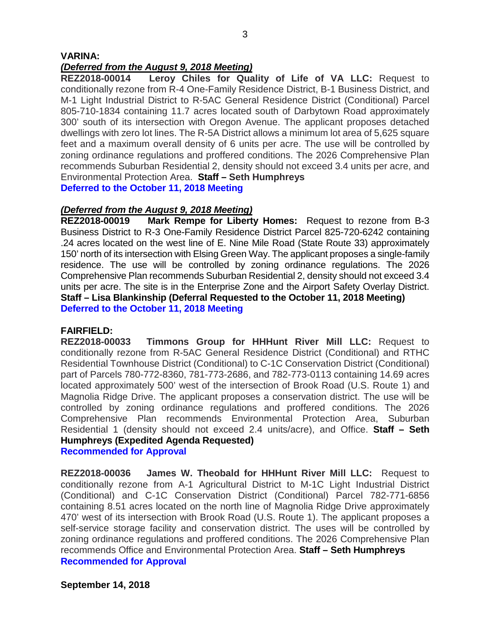#### **VARINA:**

#### *(Deferred from the August 9, 2018 Meeting)*

**REZ2018-00014 Leroy Chiles for Quality of Life of VA LLC:** Request to conditionally rezone from R-4 One-Family Residence District, B-1 Business District, and M-1 Light Industrial District to R-5AC General Residence District (Conditional) Parcel 805-710-1834 containing 11.7 acres located south of Darbytown Road approximately 300' south of its intersection with Oregon Avenue. The applicant proposes detached dwellings with zero lot lines. The R-5A District allows a minimum lot area of 5,625 square feet and a maximum overall density of 6 units per acre. The use will be controlled by zoning ordinance regulations and proffered conditions. The 2026 Comprehensive Plan recommends Suburban Residential 2, density should not exceed 3.4 units per acre, and Environmental Protection Area. **Staff – Seth Humphreys Deferred to the October 11, 2018 Meeting**

#### *(Deferred from the August 9, 2018 Meeting)*

**REZ2018-00019 Mark Rempe for Liberty Homes:** Request to rezone from B-3 Business District to R-3 One-Family Residence District Parcel 825-720-6242 containing .24 acres located on the west line of E. Nine Mile Road (State Route 33) approximately 150' north of its intersection with Elsing Green Way. The applicant proposes a single-family residence. The use will be controlled by zoning ordinance regulations. The 2026 Comprehensive Plan recommends Suburban Residential 2, density should not exceed 3.4 units per acre. The site is in the Enterprise Zone and the Airport Safety Overlay District. **Staff – Lisa Blankinship (Deferral Requested to the October 11, 2018 Meeting) Deferred to the October 11, 2018 Meeting**

**FAIRFIELD: Timmons Group for HHHunt River Mill LLC: Request to** conditionally rezone from R-5AC General Residence District (Conditional) and RTHC Residential Townhouse District (Conditional) to C-1C Conservation District (Conditional) part of Parcels 780-772-8360, 781-773-2686, and 782-773-0113 containing 14.69 acres located approximately 500' west of the intersection of Brook Road (U.S. Route 1) and Magnolia Ridge Drive. The applicant proposes a conservation district. The use will be controlled by zoning ordinance regulations and proffered conditions. The 2026 Comprehensive Plan recommends Environmental Protection Area, Suburban Residential 1 (density should not exceed 2.4 units/acre), and Office. **Staff – Seth Humphreys (Expedited Agenda Requested)**

**Recommended for Approval**

**REZ2018-00036 James W. Theobald for HHHunt River Mill LLC:** Request to conditionally rezone from A-1 Agricultural District to M-1C Light Industrial District (Conditional) and C-1C Conservation District (Conditional) Parcel 782-771-6856 containing 8.51 acres located on the north line of Magnolia Ridge Drive approximately 470' west of its intersection with Brook Road (U.S. Route 1). The applicant proposes a self-service storage facility and conservation district. The uses will be controlled by zoning ordinance regulations and proffered conditions. The 2026 Comprehensive Plan recommends Office and Environmental Protection Area. **Staff – Seth Humphreys Recommended for Approval**

**September 14, 2018**